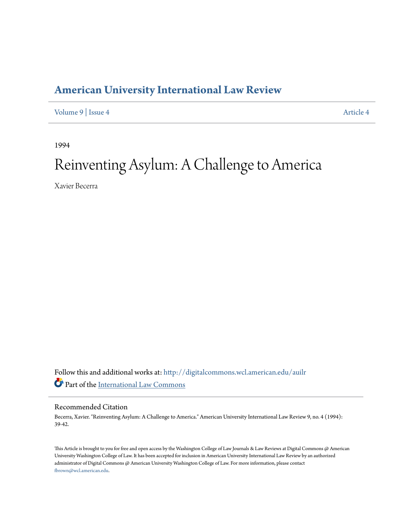## **[American University International Law Review](http://digitalcommons.wcl.american.edu/auilr?utm_source=digitalcommons.wcl.american.edu%2Fauilr%2Fvol9%2Fiss4%2F4&utm_medium=PDF&utm_campaign=PDFCoverPages)**

[Volume 9](http://digitalcommons.wcl.american.edu/auilr/vol9?utm_source=digitalcommons.wcl.american.edu%2Fauilr%2Fvol9%2Fiss4%2F4&utm_medium=PDF&utm_campaign=PDFCoverPages) | [Issue 4](http://digitalcommons.wcl.american.edu/auilr/vol9/iss4?utm_source=digitalcommons.wcl.american.edu%2Fauilr%2Fvol9%2Fiss4%2F4&utm_medium=PDF&utm_campaign=PDFCoverPages) [Article 4](http://digitalcommons.wcl.american.edu/auilr/vol9/iss4/4?utm_source=digitalcommons.wcl.american.edu%2Fauilr%2Fvol9%2Fiss4%2F4&utm_medium=PDF&utm_campaign=PDFCoverPages)

1994

# Reinventing Asylum: A Challenge to America

Xavier Becerra

Follow this and additional works at: [http://digitalcommons.wcl.american.edu/auilr](http://digitalcommons.wcl.american.edu/auilr?utm_source=digitalcommons.wcl.american.edu%2Fauilr%2Fvol9%2Fiss4%2F4&utm_medium=PDF&utm_campaign=PDFCoverPages) Part of the [International Law Commons](http://network.bepress.com/hgg/discipline/609?utm_source=digitalcommons.wcl.american.edu%2Fauilr%2Fvol9%2Fiss4%2F4&utm_medium=PDF&utm_campaign=PDFCoverPages)

#### Recommended Citation

Becerra, Xavier. "Reinventing Asylum: A Challenge to America." American University International Law Review 9, no. 4 (1994): 39-42.

This Article is brought to you for free and open access by the Washington College of Law Journals & Law Reviews at Digital Commons @ American University Washington College of Law. It has been accepted for inclusion in American University International Law Review by an authorized administrator of Digital Commons @ American University Washington College of Law. For more information, please contact [fbrown@wcl.american.edu](mailto:fbrown@wcl.american.edu).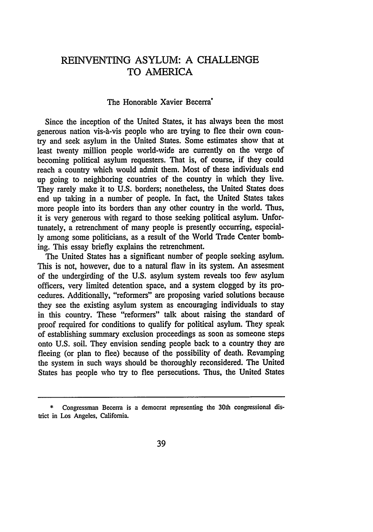### REINVENTING ASYLUM: A CHALLENGE TO AMERICA

#### The Honorable Xavier Becerra"

Since the inception of the United States, it has always been the most generous nation vis-à-vis people who are trying to flee their own country and seek asylum in the United States. Some estimates show that at least twenty million people world-wide are currently on the verge of becoming political asylum requesters. That is, of course, if they could reach a country which would admit them. Most of these individuals end up going to neighboring countries of the country in which they live. They rarely make it to U.S. borders; nonetheless, the United States does end up taking in a number of people. In fact, the United States takes more people into its borders than any other country in the world. Thus, it is very generous with regard to those seeking political asylum. Unfortunately, a retrenchment of many people is presently occurring, especially among some politicians, as a result of the World Trade Center bombing. This essay briefly explains the retrenchment.

The United States has a significant number of people seeking asylum. This is not, however, due to a natural flaw in its system. An assesment of the undergirding of the U.S. asylum system reveals too few asylum officers, very limited detention space, and a system clogged by its procedures. Additionally, "reformers" are proposing varied solutions because they see the existing asylum system as encouraging individuals to stay in this country. These "reformers" talk about raising the standard of proof required for conditions to qualify for political asylum. They speak of establishing summary exclusion proceedings as soon as someone steps onto U.S. soil. They envision sending people back to a country they are fleeing (or plan to flee) because of the possibility of death. Revamping the system in such ways should be thoroughly reconsidered. The United States has people who try to flee persecutions. Thus, the United States

**<sup>\*</sup>** Congressman Becerra is a democrat representing the **30th** congressional district in Los Angeles, California.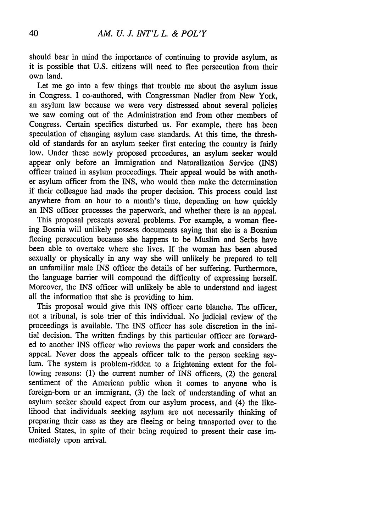should bear in mind the importance of continuing to provide asylum, as it is possible that U.S. citizens will need to flee persecution from their own land.

Let me go into a few things that trouble me about the asylum issue in Congress. I co-authored, with Congressman Nadler from New York, an asylum law because we were very distressed about several policies we saw coming out of the Administration and from other members of Congress. Certain specifics disturbed us. For example, there has been speculation of changing asylum case standards. At this time, the threshold of standards for an asylum seeker first entering the country is fairly low. Under these newly proposed procedures, an asylum seeker would appear only before an Immigration and Naturalization Service (INS) officer trained in asylum proceedings. Their appeal would be with another asylum officer from the INS, who would then make the determination if their colleague had made the proper decision. This process could last anywhere from an hour to a month's time, depending on how quickly an INS officer processes the paperwork, and whether there is an appeal.

This proposal presents several problems. For example, a woman fleeing Bosnia will unlikely possess documents saying that she is a Bosnian fleeing persecution because she happens to be Muslim and Serbs have been able to overtake where she lives. If the woman has been abused sexually or physically in any way she will unlikely be prepared to tell an unfamiliar male INS officer the details of her suffering. Furthermore, the language barrier will compound the difficulty of expressing herself. Moreover, the INS officer will unlikely be able to understand and ingest all the information that she is providing to him.

This proposal would give this INS officer carte blanche. The officer, not a tribunal, is sole trier of this individual. No judicial review of the proceedings is available. The INS officer has sole discretion in the initial decision. The written findings by this particular officer are forwarded to another INS officer who reviews the paper work and considers the appeal. Never does the appeals officer talk to the person seeking asylum. The system is problem-ridden to a frightening extent for the following reasons: (1) the current number of INS officers, (2) the general sentiment of the American public when it comes to anyone who is foreign-born or an immigrant, (3) the lack of understanding of what an asylum seeker should expect from our asylum process, and (4) the likelihood that individuals seeking asylum are not necessarily thinking of preparing their case as they are fleeing or being transported over to the United States, in spite of their being required to present their case immediately upon arrival.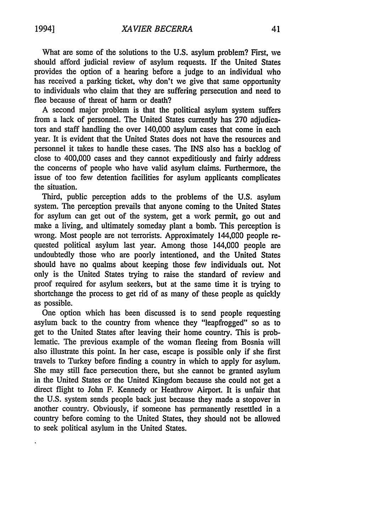What are some of the solutions to the **U.S.** asylum problem? First, we should afford judicial review of asylum requests. If the United States provides the option of a hearing before a judge to an individual who has received a parking ticket, why don't we give that same opportunity to individuals who claim that they are suffering persecution and need to flee because of threat of harm or death?

A second major problem is that the political asylum system suffers from a lack of personnel. The United States currently has 270 adjudicators and staff handling the over 140,000 asylum cases that come in each year. It is evident that the United States does not have the resources and personnel it takes to handle these cases. The INS also has a backlog of close to 400,000 cases and they cannot expeditiously and fairly address the concerns of people who have valid asylum claims. Furthermore, the issue of too few detention facilities for asylum applicants complicates the situation.

Third, public perception adds to the problems of the U.S. asylum system. The perception prevails that anyone coming to the United States for asylum can get out of the system, get a work permit, go out and make a living, and ultimately someday plant a bomb. This perception is wrong. Most people are not terrorists. Approximately 144,000 people requested political asylum last year. Among those 144,000 people are undoubtedly those who are poorly intentioned, and the United States should have no qualms about keeping those few individuals out. Not only is the United States trying to raise the standard of review and proof required for asylum seekers, but at the same time it is trying to shortchange the process to get rid of as many of these people as quickly as possible.

One option which has been discussed is to send people requesting asylum back to the country from whence they "leapfrogged" so as to get to the United States after leaving their home country. This is problematic. The previous example of the woman fleeing from Bosnia will also illustrate this point. In her case, escape is possible only if she first travels to Turkey before finding a country in which to apply for asylum. She may still face persecution there, but she cannot be granted asylum in the United States or the United Kingdom because she could not get a direct flight to John F. Kennedy or Heathrow Airport. It is unfair that the U.S. system sends people back just because they made a stopover in another country. Obviously, if someone has permanently resettled in a country before coming to the United States, they should not be allowed to seek political asylum in the United States.